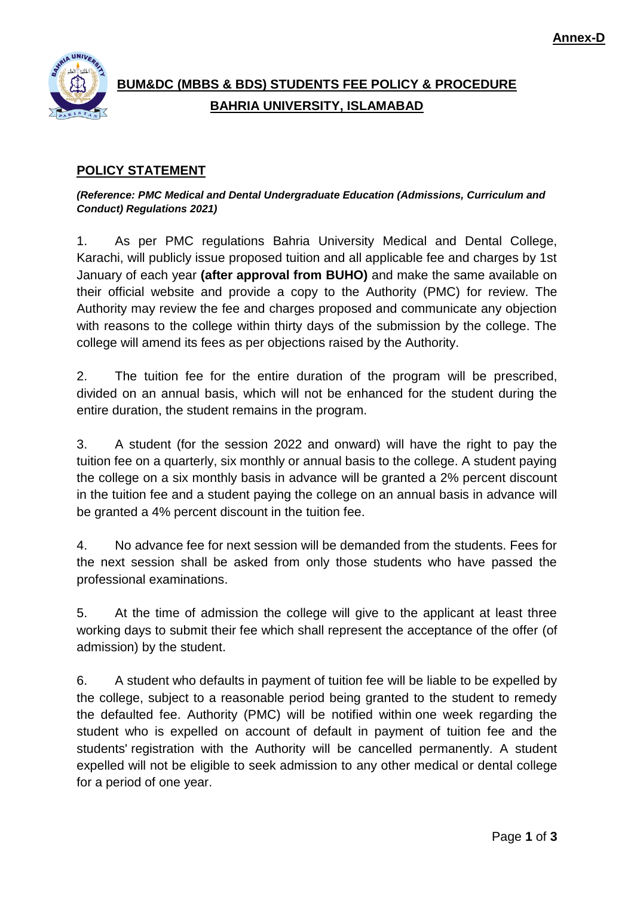

# **BUM&DC (MBBS & BDS) STUDENTS FEE POLICY & PROCEDURE BAHRIA UNIVERSITY, ISLAMABAD**

## **POLICY STATEMENT**

*(Reference: PMC Medical and Dental Undergraduate Education (Admissions, Curriculum and Conduct) Regulations 2021)*

1. As per PMC regulations Bahria University Medical and Dental College, Karachi, will publicly issue proposed tuition and all applicable fee and charges by 1st January of each year **(after approval from BUHO)** and make the same available on their official website and provide a copy to the Authority (PMC) for review. The Authority may review the fee and charges proposed and communicate any objection with reasons to the college within thirty days of the submission by the college. The college will amend its fees as per objections raised by the Authority.

2. The tuition fee for the entire duration of the program will be prescribed, divided on an annual basis, which will not be enhanced for the student during the entire duration, the student remains in the program.

3. A student (for the session 2022 and onward) will have the right to pay the tuition fee on a quarterly, six monthly or annual basis to the college. A student paying the college on a six monthly basis in advance will be granted a 2% percent discount in the tuition fee and a student paying the college on an annual basis in advance will be granted a 4% percent discount in the tuition fee.

4. No advance fee for next session will be demanded from the students. Fees for the next session shall be asked from only those students who have passed the professional examinations.

5. At the time of admission the college will give to the applicant at least three working days to submit their fee which shall represent the acceptance of the offer (of admission) by the student.

6. A student who defaults in payment of tuition fee will be liable to be expelled by the college, subject to a reasonable period being granted to the student to remedy the defaulted fee. Authority (PMC) will be notified within one week regarding the student who is expelled on account of default in payment of tuition fee and the students' registration with the Authority will be cancelled permanently. A student expelled will not be eligible to seek admission to any other medical or dental college for a period of one year.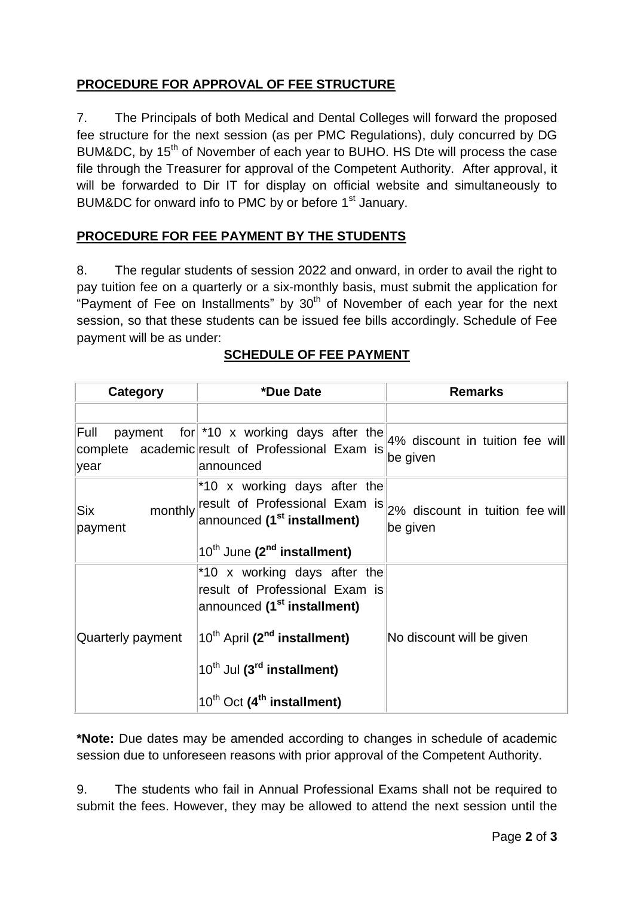## **PROCEDURE FOR APPROVAL OF FEE STRUCTURE**

7. The Principals of both Medical and Dental Colleges will forward the proposed fee structure for the next session (as per PMC Regulations), duly concurred by DG BUM&DC, by 15<sup>th</sup> of November of each year to BUHO. HS Dte will process the case file through the Treasurer for approval of the Competent Authority. After approval, it will be forwarded to Dir IT for display on official website and simultaneously to BUM&DC for onward info to PMC by or before 1<sup>st</sup> January.

## **PROCEDURE FOR FEE PAYMENT BY THE STUDENTS**

8. The regular students of session 2022 and onward, in order to avail the right to pay tuition fee on a quarterly or a six-monthly basis, must submit the application for "Payment of Fee on Installments" by  $30<sup>th</sup>$  of November of each year for the next session, so that these students can be issued fee bills accordingly. Schedule of Fee payment will be as under:

| Category          | *Due Date                                                                                                                                                                                                                                                              | <b>Remarks</b>                              |  |
|-------------------|------------------------------------------------------------------------------------------------------------------------------------------------------------------------------------------------------------------------------------------------------------------------|---------------------------------------------|--|
|                   |                                                                                                                                                                                                                                                                        |                                             |  |
| Full<br>year      | payment for $*10 \times$ working days after the<br>complete academic result of Professional Exam is<br>lannounced                                                                                                                                                      | 4% discount in tuition fee will<br>be given |  |
| Six<br>payment    | *10 x working days after the<br>monthly result of Professional Exam is<br>announced (1 <sup>st</sup> installment)<br>$10^{th}$ June (2 <sup>nd</sup> installment)                                                                                                      | 2% discount in tuition fee will<br>be given |  |
| Quarterly payment | *10 x working days after the<br>result of Professional Exam is<br>announced (1 <sup>st</sup> installment)<br>10 <sup>th</sup> April (2 <sup>nd</sup> installment)<br>10 <sup>th</sup> Jul (3 <sup>rd</sup> installment)<br>$10^{th}$ Oct (4 <sup>th</sup> installment) | No discount will be given                   |  |

#### **SCHEDULE OF FEE PAYMENT**

**\*Note:** Due dates may be amended according to changes in schedule of academic session due to unforeseen reasons with prior approval of the Competent Authority.

9. The students who fail in Annual Professional Exams shall not be required to submit the fees. However, they may be allowed to attend the next session until the